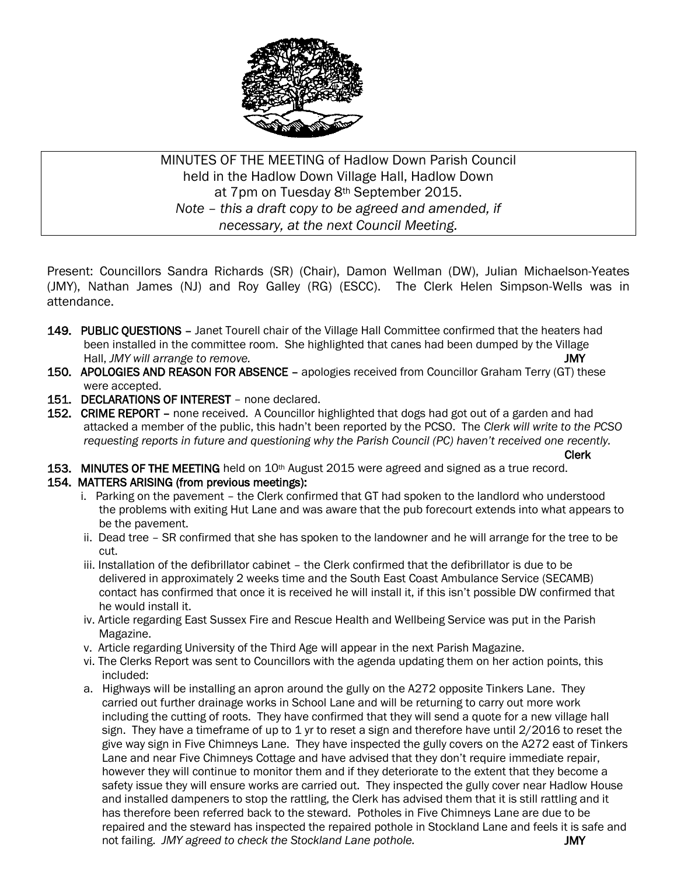

MINUTES OF THE MEETING of Hadlow Down Parish Council held in the Hadlow Down Village Hall, Hadlow Down at 7pm on Tuesday 8<sup>th</sup> September 2015. *Note – this a draft copy to be agreed and amended, if necessary, at the next Council Meeting.*

Present: Councillors Sandra Richards (SR) (Chair), Damon Wellman (DW), Julian Michaelson-Yeates (JMY), Nathan James (NJ) and Roy Galley (RG) (ESCC). The Clerk Helen Simpson-Wells was in attendance.

- 149. PUBLIC QUESTIONS Janet Tourell chair of the Village Hall Committee confirmed that the heaters had been installed in the committee room. She highlighted that canes had been dumped by the Village Hall, *JMY will arrange to remove.* JMY
- 150. APOLOGIES AND REASON FOR ABSENCE apologies received from Councillor Graham Terry (GT) these were accepted.
- 151. DECLARATIONS OF INTEREST none declared.
- 152. CRIME REPORT none received. A Councillor highlighted that dogs had got out of a garden and had attacked a member of the public, this hadn't been reported by the PCSO. The *Clerk will write to the PCSO requesting reports in future and questioning why the Parish Council (PC) haven't received one recently.* Clerk
- 153. MINUTES OF THE MEETING held on 10<sup>th</sup> August 2015 were agreed and signed as a true record.

#### 154. MATTERS ARISING (from previous meetings):

- i. Parking on the pavement the Clerk confirmed that GT had spoken to the landlord who understood the problems with exiting Hut Lane and was aware that the pub forecourt extends into what appears to be the pavement.
- ii. Dead tree SR confirmed that she has spoken to the landowner and he will arrange for the tree to be cut.
- iii. Installation of the defibrillator cabinet the Clerk confirmed that the defibrillator is due to be delivered in approximately 2 weeks time and the South East Coast Ambulance Service (SECAMB) contact has confirmed that once it is received he will install it, if this isn't possible DW confirmed that he would install it.
- iv. Article regarding East Sussex Fire and Rescue Health and Wellbeing Service was put in the Parish Magazine.
- v. Article regarding University of the Third Age will appear in the next Parish Magazine.
- vi. The Clerks Report was sent to Councillors with the agenda updating them on her action points, this included:
- a. Highways will be installing an apron around the gully on the A272 opposite Tinkers Lane. They carried out further drainage works in School Lane and will be returning to carry out more work including the cutting of roots. They have confirmed that they will send a quote for a new village hall sign. They have a timeframe of up to 1 yr to reset a sign and therefore have until 2/2016 to reset the give way sign in Five Chimneys Lane. They have inspected the gully covers on the A272 east of Tinkers Lane and near Five Chimneys Cottage and have advised that they don't require immediate repair, however they will continue to monitor them and if they deteriorate to the extent that they become a safety issue they will ensure works are carried out. They inspected the gully cover near Hadlow House and installed dampeners to stop the rattling, the Clerk has advised them that it is still rattling and it has therefore been referred back to the steward. Potholes in Five Chimneys Lane are due to be repaired and the steward has inspected the repaired pothole in Stockland Lane and feels it is safe and not failing. *JMY agreed to check the Stockland Lane pothole.* **JMY JMY**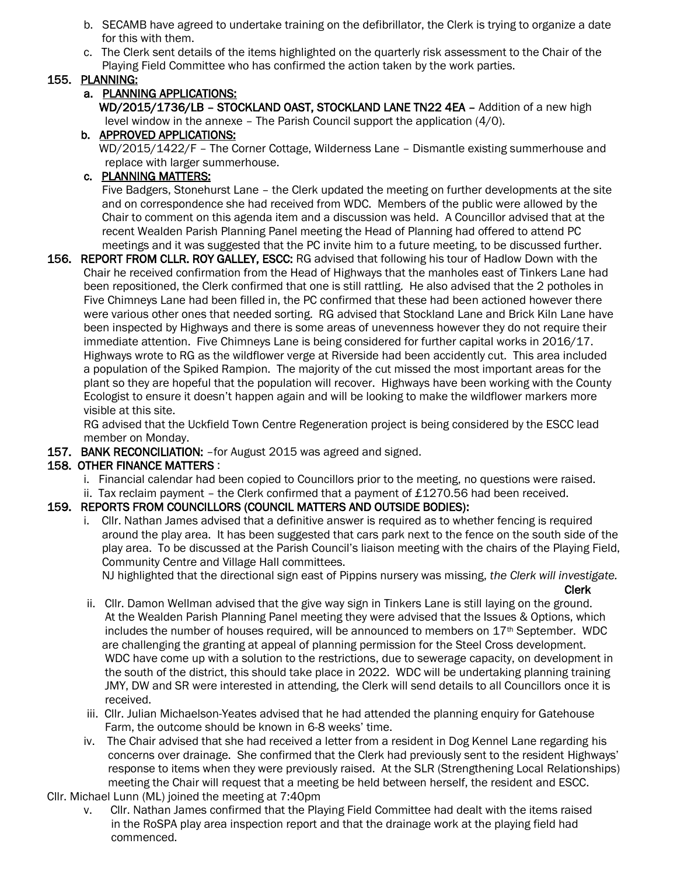- b. SECAMB have agreed to undertake training on the defibrillator, the Clerk is trying to organize a date for this with them.
- c. The Clerk sent details of the items highlighted on the quarterly risk assessment to the Chair of the Playing Field Committee who has confirmed the action taken by the work parties.

### 155. PLANNING:

### a. PLANNING APPLICATIONS:

 WD/2015/1736/LB – STOCKLAND OAST, STOCKLAND LANE TN22 4EA – Addition of a new high level window in the annexe – The Parish Council support the application (4/0).

### b. APPROVED APPLICATIONS:

 WD/2015/1422/F – The Corner Cottage, Wilderness Lane – Dismantle existing summerhouse and replace with larger summerhouse.

#### c. PLANNING MATTERS:

 Five Badgers, Stonehurst Lane – the Clerk updated the meeting on further developments at the site and on correspondence she had received from WDC. Members of the public were allowed by the Chair to comment on this agenda item and a discussion was held. A Councillor advised that at the recent Wealden Parish Planning Panel meeting the Head of Planning had offered to attend PC meetings and it was suggested that the PC invite him to a future meeting, to be discussed further.

156. REPORT FROM CLLR. ROY GALLEY, ESCC: RG advised that following his tour of Hadlow Down with the Chair he received confirmation from the Head of Highways that the manholes east of Tinkers Lane had been repositioned, the Clerk confirmed that one is still rattling. He also advised that the 2 potholes in Five Chimneys Lane had been filled in, the PC confirmed that these had been actioned however there were various other ones that needed sorting. RG advised that Stockland Lane and Brick Kiln Lane have been inspected by Highways and there is some areas of unevenness however they do not require their immediate attention. Five Chimneys Lane is being considered for further capital works in 2016/17. Highways wrote to RG as the wildflower verge at Riverside had been accidently cut. This area included a population of the Spiked Rampion. The majority of the cut missed the most important areas for the plant so they are hopeful that the population will recover. Highways have been working with the County Ecologist to ensure it doesn't happen again and will be looking to make the wildflower markers more visible at this site.

 RG advised that the Uckfield Town Centre Regeneration project is being considered by the ESCC lead member on Monday.

157. BANK RECONCILIATION: - for August 2015 was agreed and signed.

#### 158. OTHER FINANCE MATTERS :

- i. Financial calendar had been copied to Councillors prior to the meeting, no questions were raised.
- ii. Tax reclaim payment  $-$  the Clerk confirmed that a payment of £1270.56 had been received.

# 159. REPORTS FROM COUNCILLORS (COUNCIL MATTERS AND OUTSIDE BODIES):

 i. Cllr. Nathan James advised that a definitive answer is required as to whether fencing is required around the play area. It has been suggested that cars park next to the fence on the south side of the play area. To be discussed at the Parish Council's liaison meeting with the chairs of the Playing Field, Community Centre and Village Hall committees.

NJ highlighted that the directional sign east of Pippins nursery was missing, *the Clerk will investigate.*

- Clerk ii. Cllr. Damon Wellman advised that the give way sign in Tinkers Lane is still laying on the ground. At the Wealden Parish Planning Panel meeting they were advised that the Issues & Options, which includes the number of houses required, will be announced to members on  $17<sup>th</sup>$  September. WDC are challenging the granting at appeal of planning permission for the Steel Cross development. WDC have come up with a solution to the restrictions, due to sewerage capacity, on development in the south of the district, this should take place in 2022. WDC will be undertaking planning training JMY, DW and SR were interested in attending, the Clerk will send details to all Councillors once it is received.
- iii. Cllr. Julian Michaelson-Yeates advised that he had attended the planning enquiry for Gatehouse Farm, the outcome should be known in 6-8 weeks' time.
- iv. The Chair advised that she had received a letter from a resident in Dog Kennel Lane regarding his concerns over drainage. She confirmed that the Clerk had previously sent to the resident Highways' response to items when they were previously raised. At the SLR (Strengthening Local Relationships) meeting the Chair will request that a meeting be held between herself, the resident and ESCC.
- Cllr. Michael Lunn (ML) joined the meeting at 7:40pm
	- v. Cllr. Nathan James confirmed that the Playing Field Committee had dealt with the items raised in the RoSPA play area inspection report and that the drainage work at the playing field had commenced.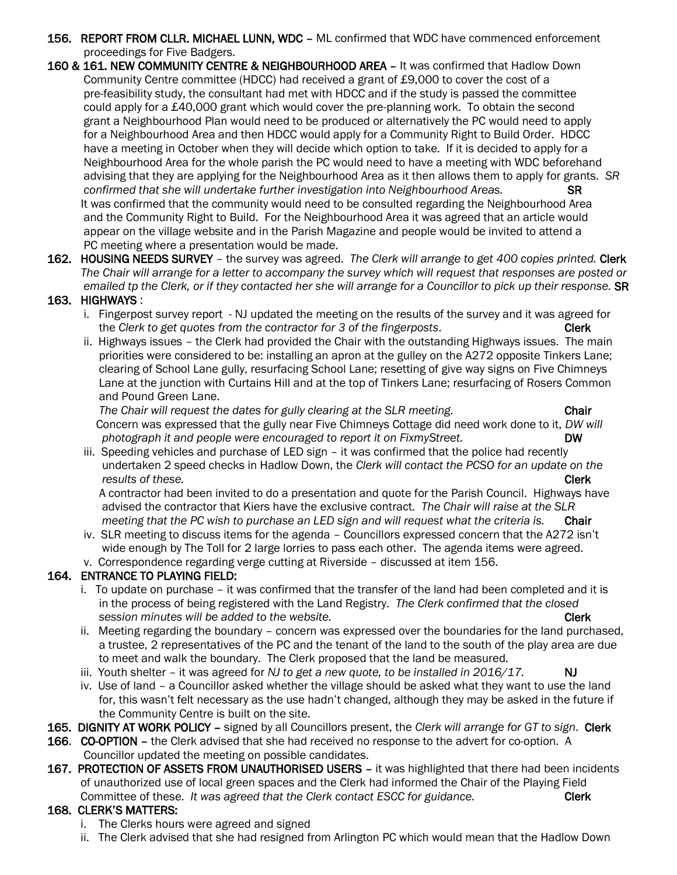- 156. REPORT FROM CLLR. MICHAEL LUNN, WDC ML confirmed that WDC have commenced enforcement proceedings for Five Badgers.
- 160 & 161. NEW COMMUNITY CENTRE & NEIGHBOURHOOD AREA It was confirmed that Hadlow Down Community Centre committee (HDCC) had received a grant of £9,000 to cover the cost of a pre-feasibility study, the consultant had met with HDCC and if the study is passed the committee could apply for a £40,000 grant which would cover the pre-planning work. To obtain the second grant a Neighbourhood Plan would need to be produced or alternatively the PC would need to apply for a Neighbourhood Area and then HDCC would apply for a Community Right to Build Order. HDCC have a meeting in October when they will decide which option to take. If it is decided to apply for a Neighbourhood Area for the whole parish the PC would need to have a meeting with WDC beforehand advising that they are applying for the Neighbourhood Area as it then allows them to apply for grants. *SR confirmed that she will undertake further investigation into Neighbourhood Areas.* SR It was confirmed that the community would need to be consulted regarding the Neighbourhood Area and the Community Right to Build. For the Neighbourhood Area it was agreed that an article would appear on the village website and in the Parish Magazine and people would be invited to attend a PC meeting where a presentation would be made.
- 162. HOUSING NEEDS SURVEY the survey was agreed. *The Clerk will arrange to get 400 copies printed.* Clerk *The Chair will arrange for a letter to accompany the survey which will request that responses are posted or emailed tp the Clerk, or if they contacted her she will arrange for a Councillor to pick up their response.* SR

### 163. HIGHWAYS :

- i. Fingerpost survey report NJ updated the meeting on the results of the survey and it was agreed for the *Clerk to get quotes from the contractor for 3 of the fingerposts*. Clerk
- ii. Highways issues the Clerk had provided the Chair with the outstanding Highways issues. The main priorities were considered to be: installing an apron at the gulley on the A272 opposite Tinkers Lane; clearing of School Lane gully, resurfacing School Lane; resetting of give way signs on Five Chimneys Lane at the junction with Curtains Hill and at the top of Tinkers Lane; resurfacing of Rosers Common and Pound Green Lane.

*The Chair will request the dates for gully clearing at the SLR meeting.* Chair Concern was expressed that the gully near Five Chimneys Cottage did need work done to it, *DW will photograph it and people were encouraged to report it on FixmyStreet.* DW

 iii. Speeding vehicles and purchase of LED sign – it was confirmed that the police had recently undertaken 2 speed checks in Hadlow Down, the *Clerk will contact the PCSO for an update on the results of these.* Clerk

 A contractor had been invited to do a presentation and quote for the Parish Council. Highways have advised the contractor that Kiers have the exclusive contract. *The Chair will raise at the SLR meeting that the PC wish to purchase an LED sign and will request what the criteria is.* Chair

- iv. SLR meeting to discuss items for the agenda Councillors expressed concern that the A272 isn't wide enough by The Toll for 2 large lorries to pass each other. The agenda items were agreed.
- v. Correspondence regarding verge cutting at Riverside discussed at item 156.

## 164. ENTRANCE TO PLAYING FIELD:

- i. To update on purchase it was confirmed that the transfer of the land had been completed and it is in the process of being registered with the Land Registry. *The Clerk confirmed that the closed Session minutes will be added to the website.* **Clerk and the set of the clerk clerk clerk clerk clerk clerk clerk clerk clerk clerk clerk clerk clerk clerk clerk clerk clerk clerk clerk clerk clerk clerk clerk clerk cler**
- ii. Meeting regarding the boundary concern was expressed over the boundaries for the land purchased, a trustee, 2 representatives of the PC and the tenant of the land to the south of the play area are due to meet and walk the boundary. The Clerk proposed that the land be measured.
- iii. Youth shelter it was agreed for *NJ* to get a new quote, to be installed in 2016/17.
- iv. Use of land a Councillor asked whether the village should be asked what they want to use the land for, this wasn't felt necessary as the use hadn't changed, although they may be asked in the future if the Community Centre is built on the site.

## 165. DIGNITY AT WORK POLICY – signed by all Councillors present, the *Clerk will arrange for GT to sign*. Clerk

- 166. CO-OPTION the Clerk advised that she had received no response to the advert for co-option. A Councillor updated the meeting on possible candidates.
- 167. PROTECTION OF ASSETS FROM UNAUTHORISED USERS it was highlighted that there had been incidents of unauthorized use of local green spaces and the Clerk had informed the Chair of the Playing Field Committee of these. *It was agreed that the Clerk contact ESCC for guidance.* Clerk

## 168. CLERK'S MATTERS:

- i. The Clerks hours were agreed and signed
- ii. The Clerk advised that she had resigned from Arlington PC which would mean that the Hadlow Down